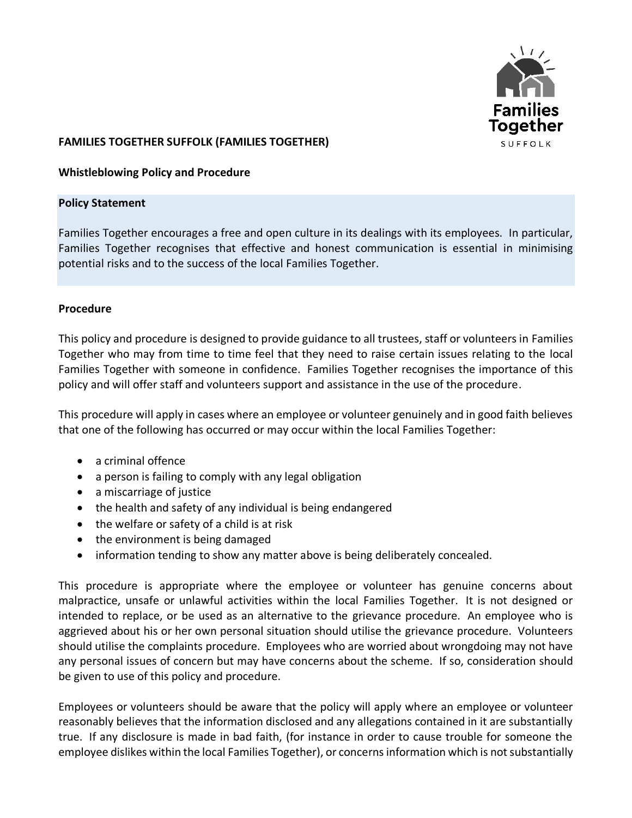

## **FAMILIES TOGETHER SUFFOLK (FAMILIES TOGETHER)**

## **Whistleblowing Policy and Procedure**

#### **Policy Statement**

Families Together encourages a free and open culture in its dealings with its employees. In particular, Families Together recognises that effective and honest communication is essential in minimising potential risks and to the success of the local Families Together.

## **Procedure**

This policy and procedure is designed to provide guidance to all trustees, staff or volunteers in Families Together who may from time to time feel that they need to raise certain issues relating to the local Families Together with someone in confidence. Families Together recognises the importance of this policy and will offer staff and volunteers support and assistance in the use of the procedure.

This procedure will apply in cases where an employee or volunteer genuinely and in good faith believes that one of the following has occurred or may occur within the local Families Together:

- a criminal offence
- a person is failing to comply with any legal obligation
- a miscarriage of justice
- the health and safety of any individual is being endangered
- the welfare or safety of a child is at risk
- the environment is being damaged
- information tending to show any matter above is being deliberately concealed.

This procedure is appropriate where the employee or volunteer has genuine concerns about malpractice, unsafe or unlawful activities within the local Families Together. It is not designed or intended to replace, or be used as an alternative to the grievance procedure. An employee who is aggrieved about his or her own personal situation should utilise the grievance procedure. Volunteers should utilise the complaints procedure. Employees who are worried about wrongdoing may not have any personal issues of concern but may have concerns about the scheme. If so, consideration should be given to use of this policy and procedure.

Employees or volunteers should be aware that the policy will apply where an employee or volunteer reasonably believes that the information disclosed and any allegations contained in it are substantially true. If any disclosure is made in bad faith, (for instance in order to cause trouble for someone the employee dislikes within the local Families Together), or concerns information which is not substantially